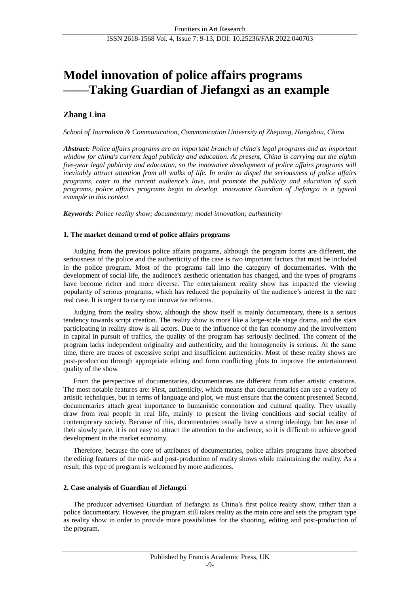# **Model innovation of police affairs programs ——Taking Guardian of Jiefangxi as an example**

# **Zhang Lina**

*School of Journalism & Communication, Communication University of Zhejiang, Hangzhou, China*

*Abstract: Police affairs programs are an important branch of china's legal programs and an important window for china's current legal publicity and education. At present, China is carrying out the eighth five-year legal publicity and education, so the innovative development of police affairs programs will inevitably attract attention from all walks of life. In order to dispel the seriousness of police affairs programs, cater to the current audience's love, and promote the publicity and education of such programs, police affairs programs begin to develop innovative Guardian of Jiefangxi is a typical example in this context.*

*Keywords: Police reality show; documentary; model innovation; authenticity*

# **1. The market demand trend of police affairs programs**

Judging from the previous police affairs programs, although the program forms are different, the seriousness of the police and the authenticity of the case is two important factors that must be included in the police program. Most of the programs fall into the category of documentaries. With the development of social life, the audience's aesthetic orientation has changed, and the types of programs have become richer and more diverse. The entertainment reality show has impacted the viewing popularity of serious programs, which has reduced the popularity of the audience's interest in the rare real case. It is urgent to carry out innovative reforms.

Judging from the reality show, although the show itself is mainly documentary, there is a serious tendency towards script creation. The reality show is more like a large-scale stage drama, and the stars participating in reality show is all actors. Due to the influence of the fan economy and the involvement in capital in pursuit of traffics, the quality of the program has seriously declined. The content of the program lacks independent originality and authenticity, and the homogeneity is serious. At the same time, there are traces of excessive script and insufficient authenticity. Most of these reality shows are post-production through appropriate editing and form conflicting plots to improve the entertainment quality of the show.

From the perspective of documentaries, documentaries are different from other artistic creations. The most notable features are: First, authenticity, which means that documentaries can use a variety of artistic techniques, but in terms of language and plot, we must ensure that the content presented Second, documentaries attach great importance to humanistic connotation and cultural quality. They usually draw from real people in real life, mainly to present the living conditions and social reality of contemporary society. Because of this, documentaries usually have a strong ideology, but because of their slowly pace, it is not easy to attract the attention to the audience, so it is difficult to achieve good development in the market economy.

Therefore, because the core of attributes of documentaries, police affairs programs have absorbed the editing features of the mid- and post-production of reality shows while maintaining the reality. As a result, this type of program is welcomed by more audiences.

# **2. Case analysis of Guardian of Jiefangxi**

The producer advertised Guardian of Jiefangxi as China's first police reality show, rather than a police documentary. However, the program still takes reality as the main core and sets the program type as reality show in order to provide more possibilities for the shooting, editing and post-production of the program.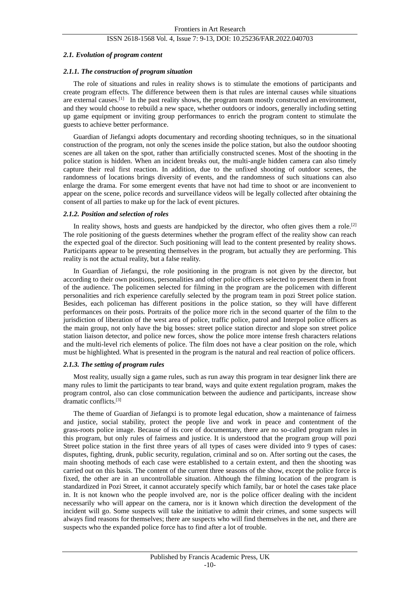#### *2.1. Evolution of program content*

#### *2.1.1. The construction of program situation*

The role of situations and rules in reality shows is to stimulate the emotions of participants and create program effects. The difference between them is that rules are internal causes while situations are external causes.<sup>[1]</sup> In the past reality shows, the program team mostly constructed an environment, and they would choose to rebuild a new space, whether outdoors or indoors, generally including setting up game equipment or inviting group performances to enrich the program content to stimulate the guests to achieve better performance.

Guardian of Jiefangxi adopts documentary and recording shooting techniques, so in the situational construction of the program, not only the scenes inside the police station, but also the outdoor shooting scenes are all taken on the spot, rather than artificially constructed scenes. Most of the shooting in the police station is hidden. When an incident breaks out, the multi-angle hidden camera can also timely capture their real first reaction. In addition, due to the unfixed shooting of outdoor scenes, the randomness of locations brings diversity of events, and the randomness of such situations can also enlarge the drama. For some emergent events that have not had time to shoot or are inconvenient to appear on the scene, police records and surveillance videos will be legally collected after obtaining the consent of all parties to make up for the lack of event pictures.

#### *2.1.2. Position and selection of roles*

In reality shows, hosts and guests are handpicked by the director, who often gives them a role.<sup>[2]</sup> The role positioning of the guests determines whether the program effect of the reality show can reach the expected goal of the director. Such positioning will lead to the content presented by reality shows. Participants appear to be presenting themselves in the program, but actually they are performing. This reality is not the actual reality, but a false reality.

In Guardian of Jiefangxi, the role positioning in the program is not given by the director, but according to their own positions, personalities and other police officers selected to present them in front of the audience. The policemen selected for filming in the program are the policemen with different personalities and rich experience carefully selected by the program team in pozi Street police station. Besides, each policeman has different positions in the police station, so they will have different performances on their posts. Portraits of the police more rich in the second quarter of the film to the jurisdiction of liberation of the west area of police, traffic police, patrol and Interpol police officers as the main group, not only have the big bosses: street police station director and slope son street police station liaison detector, and police new forces, show the police more intense fresh characters relations and the multi-level rich elements of police. The film does not have a clear position on the role, which must be highlighted. What is presented in the program is the natural and real reaction of police officers.

#### *2.1.3. The setting of program rules*

Most reality, usually sign a game rules, such as run away this program in tear designer link there are many rules to limit the participants to tear brand, ways and quite extent regulation program, makes the program control, also can close communication between the audience and participants, increase show dramatic conflicts.[3]

The theme of Guardian of Jiefangxi is to promote legal education, show a maintenance of fairness and justice, social stability, protect the people live and work in peace and contentment of the grass-roots police image. Because of its core of documentary, there are no so-called program rules in this program, but only rules of fairness and justice. It is understood that the program group will pozi Street police station in the first three years of all types of cases were divided into 9 types of cases: disputes, fighting, drunk, public security, regulation, criminal and so on. After sorting out the cases, the main shooting methods of each case were established to a certain extent, and then the shooting was carried out on this basis. The content of the current three seasons of the show, except the police force is fixed, the other are in an uncontrollable situation. Although the filming location of the program is standardized in Pozi Street, it cannot accurately specify which family, bar or hotel the cases take place in. It is not known who the people involved are, nor is the police officer dealing with the incident necessarily who will appear on the camera, nor is it known which direction the development of the incident will go. Some suspects will take the initiative to admit their crimes, and some suspects will always find reasons for themselves; there are suspects who will find themselves in the net, and there are suspects who the expanded police force has to find after a lot of trouble.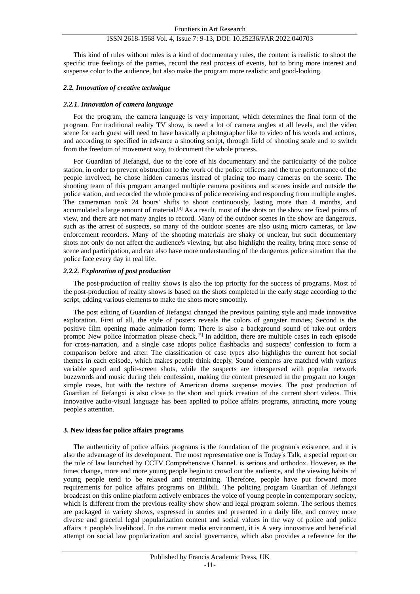This kind of rules without rules is a kind of documentary rules, the content is realistic to shoot the specific true feelings of the parties, record the real process of events, but to bring more interest and suspense color to the audience, but also make the program more realistic and good-looking.

#### *2.2. Innovation of creative technique*

#### *2.2.1. Innovation of camera language*

For the program, the camera language is very important, which determines the final form of the program. For traditional reality TV show, is need a lot of camera angles at all levels, and the video scene for each guest will need to have basically a photographer like to video of his words and actions, and according to specified in advance a shooting script, through field of shooting scale and to switch from the freedom of movement way, to document the whole process.

For Guardian of Jiefangxi, due to the core of his documentary and the particularity of the police station, in order to prevent obstruction to the work of the police officers and the true performance of the people involved, he chose hidden cameras instead of placing too many cameras on the scene. The shooting team of this program arranged multiple camera positions and scenes inside and outside the police station, and recorded the whole process of police receiving and responding from multiple angles. The cameraman took 24 hours' shifts to shoot continuously, lasting more than 4 months, and accumulated a large amount of material.<sup>[4]</sup> As a result, most of the shots on the show are fixed points of view, and there are not many angles to record. Many of the outdoor scenes in the show are dangerous, such as the arrest of suspects, so many of the outdoor scenes are also using micro cameras, or law enforcement recorders. Many of the shooting materials are shaky or unclear, but such documentary shots not only do not affect the audience's viewing, but also highlight the reality, bring more sense of scene and participation, and can also have more understanding of the dangerous police situation that the police face every day in real life.

#### *2.2.2. Exploration of post production*

The post-production of reality shows is also the top priority for the success of programs. Most of the post-production of reality shows is based on the shots completed in the early stage according to the script, adding various elements to make the shots more smoothly.

The post editing of Guardian of Jiefangxi changed the previous painting style and made innovative exploration. First of all, the style of posters reveals the colors of gangster movies; Second is the positive film opening made animation form; There is also a background sound of take-out orders prompt: New police information please check.<sup>[5]</sup> In addition, there are multiple cases in each episode for cross-narration, and a single case adopts police flashbacks and suspects' confession to form a comparison before and after. The classification of case types also highlights the current hot social themes in each episode, which makes people think deeply. Sound elements are matched with various variable speed and split-screen shots, while the suspects are interspersed with popular network buzzwords and music during their confession, making the content presented in the program no longer simple cases, but with the texture of American drama suspense movies. The post production of Guardian of Jiefangxi is also close to the short and quick creation of the current short videos. This innovative audio-visual language has been applied to police affairs programs, attracting more young people's attention.

#### **3. New ideas for police affairs programs**

The authenticity of police affairs programs is the foundation of the program's existence, and it is also the advantage of its development. The most representative one is Today's Talk, a special report on the rule of law launched by CCTV Comprehensive Channel. is serious and orthodox. However, as the times change, more and more young people begin to crowd out the audience, and the viewing habits of young people tend to be relaxed and entertaining. Therefore, people have put forward more requirements for police affairs programs on Bilibili. The policing program Guardian of Jiefangxi broadcast on this online platform actively embraces the voice of young people in contemporary society, which is different from the previous reality show show and legal program solemn. The serious themes are packaged in variety shows, expressed in stories and presented in a daily life, and convey more diverse and graceful legal popularization content and social values in the way of police and police affairs + people's livelihood. In the current media environment, it is A very innovative and beneficial attempt on social law popularization and social governance, which also provides a reference for the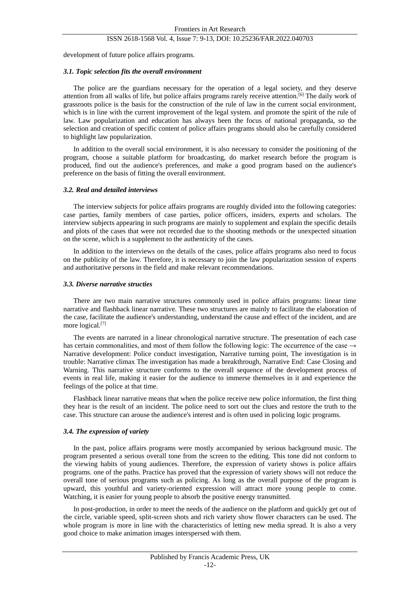development of future police affairs programs.

#### *3.1. Topic selection fits the overall environment*

The police are the guardians necessary for the operation of a legal society, and they deserve attention from all walks of life, but police affairs programs rarely receive attention.[6] The daily work of grassroots police is the basis for the construction of the rule of law in the current social environment, which is in line with the current improvement of the legal system. and promote the spirit of the rule of law. Law popularization and education has always been the focus of national propaganda, so the selection and creation of specific content of police affairs programs should also be carefully considered to highlight law popularization.

In addition to the overall social environment, it is also necessary to consider the positioning of the program, choose a suitable platform for broadcasting, do market research before the program is produced, find out the audience's preferences, and make a good program based on the audience's preference on the basis of fitting the overall environment.

#### *3.2. Real and detailed interviews*

The interview subjects for police affairs programs are roughly divided into the following categories: case parties, family members of case parties, police officers, insiders, experts and scholars. The interview subjects appearing in such programs are mainly to supplement and explain the specific details and plots of the cases that were not recorded due to the shooting methods or the unexpected situation on the scene, which is a supplement to the authenticity of the cases.

In addition to the interviews on the details of the cases, police affairs programs also need to focus on the publicity of the law. Therefore, it is necessary to join the law popularization session of experts and authoritative persons in the field and make relevant recommendations.

#### *3.3. Diverse narrative structies*

There are two main narrative structures commonly used in police affairs programs: linear time narrative and flashback linear narrative. These two structures are mainly to facilitate the elaboration of the case, facilitate the audience's understanding, understand the cause and effect of the incident, and are more logical.<sup>[7]</sup>

The events are narrated in a linear chronological narrative structure. The presentation of each case has certain commonalities, and most of them follow the following logic: The occurrence of the case  $\rightarrow$ Narrative development: Police conduct investigation, Narrative turning point, The investigation is in trouble: Narrative climax The investigation has made a breakthrough, Narrative End: Case Closing and Warning. This narrative structure conforms to the overall sequence of the development process of events in real life, making it easier for the audience to immerse themselves in it and experience the feelings of the police at that time.

Flashback linear narrative means that when the police receive new police information, the first thing they hear is the result of an incident. The police need to sort out the clues and restore the truth to the case. This structure can arouse the audience's interest and is often used in policing logic programs.

#### *3.4. The expression of variety*

In the past, police affairs programs were mostly accompanied by serious background music. The program presented a serious overall tone from the screen to the editing. This tone did not conform to the viewing habits of young audiences. Therefore, the expression of variety shows is police affairs programs. one of the paths. Practice has proved that the expression of variety shows will not reduce the overall tone of serious programs such as policing. As long as the overall purpose of the program is upward, this youthful and variety-oriented expression will attract more young people to come. Watching, it is easier for young people to absorb the positive energy transmitted.

In post-production, in order to meet the needs of the audience on the platform and quickly get out of the circle, variable speed, split-screen shots and rich variety show flower characters can be used. The whole program is more in line with the characteristics of letting new media spread. It is also a very good choice to make animation images interspersed with them.